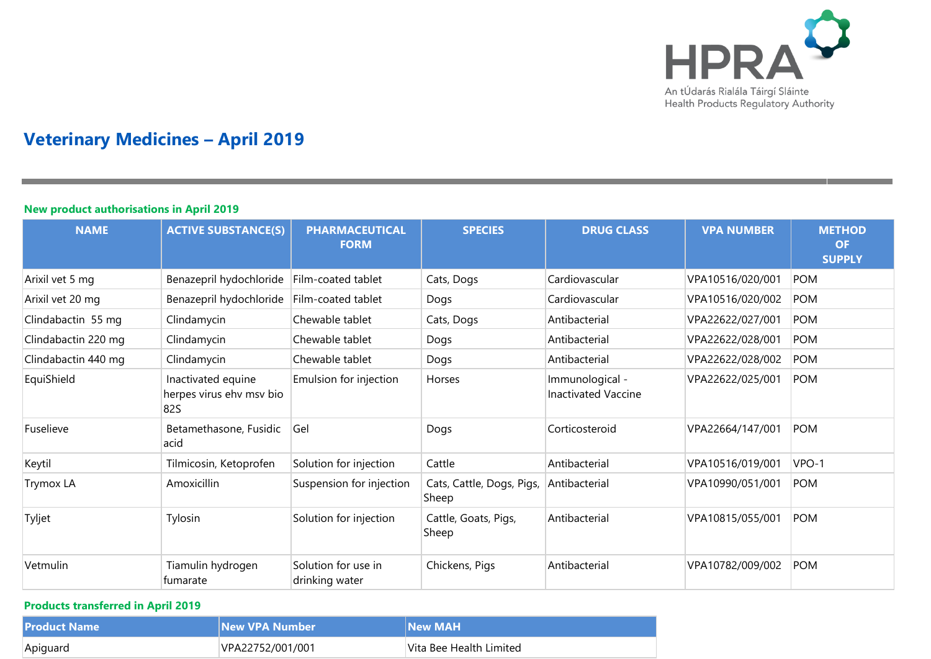

## **Veterinary Medicines – April 2019**

## **New product authorisations in April 2019**

| <b>NAME</b>         | <b>ACTIVE SUBSTANCE(S)</b>                            | <b>PHARMACEUTICAL</b><br><b>FORM</b>  | <b>SPECIES</b>                     | <b>DRUG CLASS</b>                             | <b>VPA NUMBER</b> | <b>METHOD</b><br><b>OF</b><br><b>SUPPLY</b> |
|---------------------|-------------------------------------------------------|---------------------------------------|------------------------------------|-----------------------------------------------|-------------------|---------------------------------------------|
| Arixil vet 5 mg     | Benazepril hydochloride                               | Film-coated tablet                    | Cats, Dogs                         | Cardiovascular                                | VPA10516/020/001  | <b>POM</b>                                  |
| Arixil vet 20 mg    | Benazepril hydochloride                               | Film-coated tablet                    | Dogs                               | Cardiovascular                                | VPA10516/020/002  | <b>POM</b>                                  |
| Clindabactin 55 mg  | Clindamycin                                           | Chewable tablet                       | Cats, Dogs                         | Antibacterial                                 | VPA22622/027/001  | <b>POM</b>                                  |
| Clindabactin 220 mg | Clindamycin                                           | Chewable tablet                       | Dogs                               | Antibacterial                                 | VPA22622/028/001  | <b>POM</b>                                  |
| Clindabactin 440 mg | Clindamycin                                           | Chewable tablet                       | Dogs                               | Antibacterial                                 | VPA22622/028/002  | <b>POM</b>                                  |
| EquiShield          | Inactivated equine<br>herpes virus ehv msv bio<br>82S | Emulsion for injection                | Horses                             | Immunological -<br><b>Inactivated Vaccine</b> | VPA22622/025/001  | <b>POM</b>                                  |
| Fuselieve           | Betamethasone, Fusidic<br>acid                        | Gel                                   | Dogs                               | Corticosteroid                                | VPA22664/147/001  | <b>POM</b>                                  |
| Keytil              | Tilmicosin, Ketoprofen                                | Solution for injection                | Cattle                             | Antibacterial                                 | VPA10516/019/001  | VPO-1                                       |
| <b>Trymox LA</b>    | Amoxicillin                                           | Suspension for injection              | Cats, Cattle, Dogs, Pigs,<br>Sheep | Antibacterial                                 | VPA10990/051/001  | <b>POM</b>                                  |
| Tyljet              | Tylosin                                               | Solution for injection                | Cattle, Goats, Pigs,<br>Sheep      | Antibacterial                                 | VPA10815/055/001  | <b>POM</b>                                  |
| Vetmulin            | Tiamulin hydrogen<br>fumarate                         | Solution for use in<br>drinking water | Chickens, Pigs                     | Antibacterial                                 | VPA10782/009/002  | <b>POM</b>                                  |

## **Products transferred in April 2019**

| <b>Product Name</b> | <b>New VPA Number</b> | <b>New MAH</b>          |
|---------------------|-----------------------|-------------------------|
| Apiguard            | VPA22752/001/001      | Vita Bee Health Limited |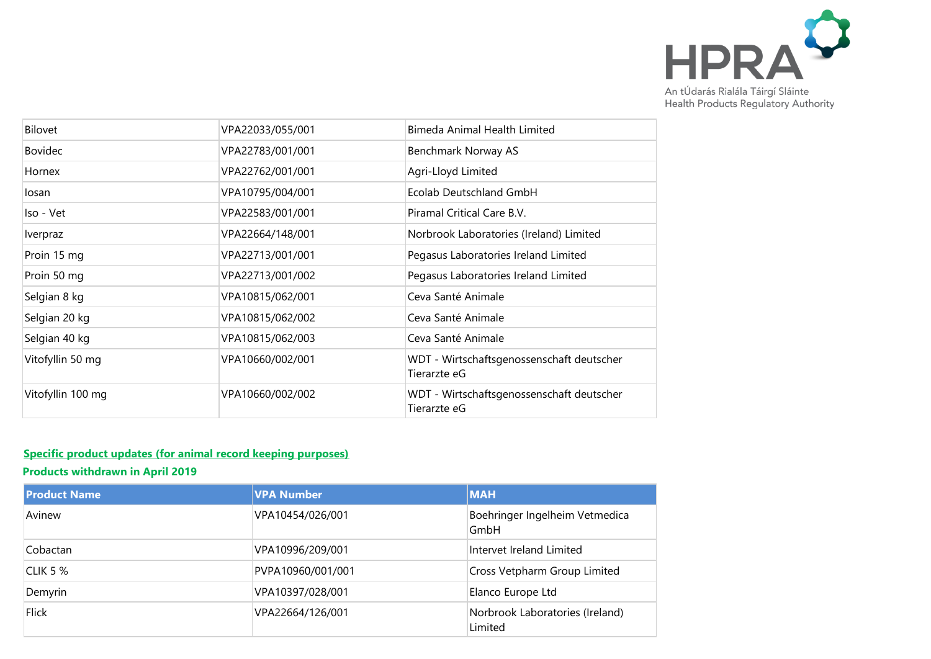

| Bilovet           | VPA22033/055/001 | Bimeda Animal Health Limited                              |
|-------------------|------------------|-----------------------------------------------------------|
| Bovidec           | VPA22783/001/001 | Benchmark Norway AS                                       |
| Hornex            | VPA22762/001/001 | Agri-Lloyd Limited                                        |
| losan             | VPA10795/004/001 | Ecolab Deutschland GmbH                                   |
| Iso - Vet         | VPA22583/001/001 | Piramal Critical Care B.V.                                |
| Iverpraz          | VPA22664/148/001 | Norbrook Laboratories (Ireland) Limited                   |
| Proin 15 mg       | VPA22713/001/001 | Pegasus Laboratories Ireland Limited                      |
| Proin 50 mg       | VPA22713/001/002 | Pegasus Laboratories Ireland Limited                      |
| Selgian 8 kg      | VPA10815/062/001 | Ceva Santé Animale                                        |
| Selgian 20 kg     | VPA10815/062/002 | Ceva Santé Animale                                        |
| Selgian 40 kg     | VPA10815/062/003 | Ceva Santé Animale                                        |
| Vitofyllin 50 mg  | VPA10660/002/001 | WDT - Wirtschaftsgenossenschaft deutscher<br>Tierarzte eG |
| Vitofyllin 100 mg | VPA10660/002/002 | WDT - Wirtschaftsgenossenschaft deutscher<br>Tierarzte eG |
|                   |                  |                                                           |

## **Specific product updates (for animal record keeping purposes)**

**Products withdrawn in April 2019**

| <b>Product Name</b> | <b>VPA Number</b> | <b>MAH</b>                                 |
|---------------------|-------------------|--------------------------------------------|
| Avinew              | VPA10454/026/001  | Boehringer Ingelheim Vetmedica<br>GmbH     |
| Cobactan            | VPA10996/209/001  | Intervet Ireland Limited                   |
| <b>CLIK 5 %</b>     | PVPA10960/001/001 | Cross Vetpharm Group Limited               |
| Demyrin             | VPA10397/028/001  | Elanco Europe Ltd                          |
| <b>Flick</b>        | VPA22664/126/001  | Norbrook Laboratories (Ireland)<br>Limited |